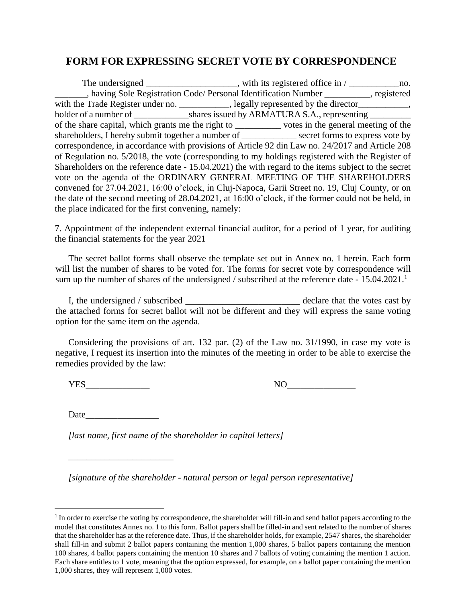## **FORM FOR EXPRESSING SECRET VOTE BY CORRESPONDENCE**

The undersigned  $\frac{1}{\sqrt{1-\frac{1}{n}}}\$ , with its registered office in  $\frac{1}{\sqrt{1-\frac{1}{n}}}\$  no. \_\_\_\_\_\_\_, having Sole Registration Code/ Personal Identification Number \_\_\_\_\_\_\_\_\_\_, registered with the Trade Register under no. \_\_\_\_\_\_\_\_\_\_, legally represented by the director\_\_\_\_\_\_\_\_\_, holder of a number of \_\_\_\_\_\_\_\_\_\_\_\_\_\_shares issued by ARMATURA S.A., representing \_\_\_\_\_\_\_\_\_\_\_\_\_\_\_\_\_\_ of the share capital, which grants me the right to \_\_\_\_\_\_\_\_\_\_ votes in the general meeting of the shareholders, I hereby submit together a number of \_\_\_\_\_\_\_\_\_\_\_\_ secret forms to express vote by correspondence, in accordance with provisions of Article 92 din Law no. 24/2017 and Article 208 of Regulation no. 5/2018, the vote (corresponding to my holdings registered with the Register of Shareholders on the reference date - 15.04.2021) the with regard to the items subject to the secret vote on the agenda of the ORDINARY GENERAL MEETING OF THE SHAREHOLDERS convened for 27.04.2021, 16:00 o'clock, in Cluj-Napoca, Garii Street no. 19, Cluj County, or on the date of the second meeting of 28.04.2021, at 16:00 o'clock, if the former could not be held, in the place indicated for the first convening, namely:

7. Appointment of the independent external financial auditor, for a period of 1 year, for auditing the financial statements for the year 2021

The secret ballot forms shall observe the template set out in Annex no. 1 herein. Each form will list the number of shares to be voted for. The forms for secret vote by correspondence will sum up the number of shares of the undersigned / subscribed at the reference date - 15.04.2021.<sup>1</sup>

I, the undersigned / subscribed \_\_\_\_\_\_\_\_\_\_\_\_\_\_\_\_\_\_\_\_\_\_\_\_\_ declare that the votes cast by the attached forms for secret ballot will not be different and they will express the same voting option for the same item on the agenda.

Considering the provisions of art. 132 par. (2) of the Law no. 31/1990, in case my vote is negative, I request its insertion into the minutes of the meeting in order to be able to exercise the remedies provided by the law:

YES\_\_\_\_\_\_\_\_\_\_\_\_\_\_ NO\_\_\_\_\_\_\_\_\_\_\_\_\_\_\_

Date  $\Box$ 

\_\_\_\_\_\_\_\_\_\_\_\_\_\_\_\_\_\_\_\_\_\_\_

*[last name, first name of the shareholder in capital letters]*

*[signature of the shareholder - natural person or legal person representative]*

<sup>&</sup>lt;sup>1</sup> In order to exercise the voting by correspondence, the shareholder will fill-in and send ballot papers according to the model that constitutes Annex no. 1 to this form. Ballot papers shall be filled-in and sent related to the number of shares that the shareholder has at the reference date. Thus, if the shareholder holds, for example, 2547 shares, the shareholder shall fill-in and submit 2 ballot papers containing the mention 1,000 shares, 5 ballot papers containing the mention 100 shares, 4 ballot papers containing the mention 10 shares and 7 ballots of voting containing the mention 1 action. Each share entitles to 1 vote, meaning that the option expressed, for example, on a ballot paper containing the mention 1,000 shares, they will represent 1,000 votes.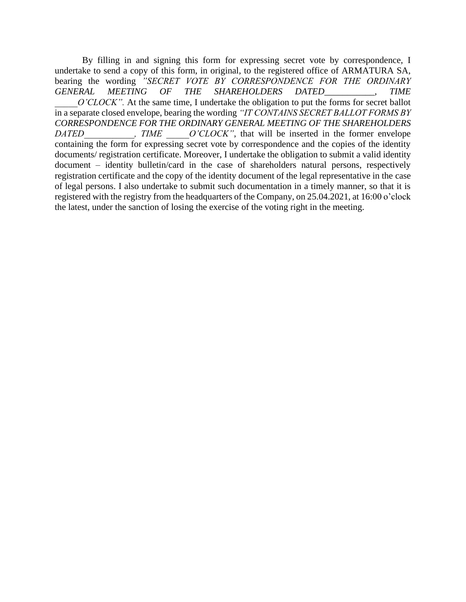By filling in and signing this form for expressing secret vote by correspondence, I undertake to send a copy of this form, in original, to the registered office of ARMATURA SA, bearing the wording *"SECRET VOTE BY CORRESPONDENCE FOR THE ORDINARY GENERAL MEETING OF THE SHAREHOLDERS DATED\_\_\_\_\_\_\_\_\_\_\_, TIME O'CLOCK"*. At the same time, I undertake the obligation to put the forms for secret ballot in a separate closed envelope, bearing the wording *"IT CONTAINS SECRET BALLOT FORMS BY CORRESPONDENCE FOR THE ORDINARY GENERAL MEETING OF THE SHAREHOLDERS DATED* FIME O'CLOCK", that will be inserted in the former envelope containing the form for expressing secret vote by correspondence and the copies of the identity documents/ registration certificate. Moreover, I undertake the obligation to submit a valid identity document – identity bulletin/card in the case of shareholders natural persons, respectively registration certificate and the copy of the identity document of the legal representative in the case of legal persons. I also undertake to submit such documentation in a timely manner, so that it is registered with the registry from the headquarters of the Company, on 25.04.2021, at 16:00 o'clock the latest, under the sanction of losing the exercise of the voting right in the meeting.